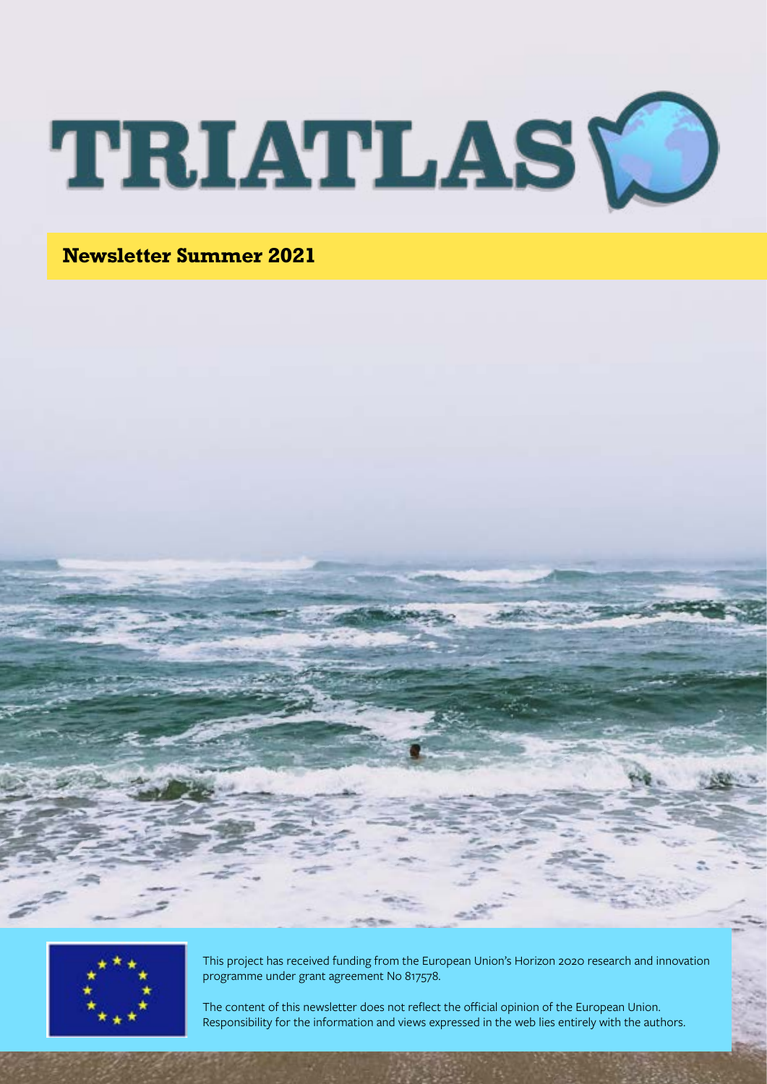

**Newsletter Summer 2021**





This project has received funding from the European Union's Horizon 2020 research and innovation programme under grant agreement No 817578.

The content of this newsletter does not reflect the official opinion of the European Union. Responsibility for the information and views expressed in the web lies entirely with the authors.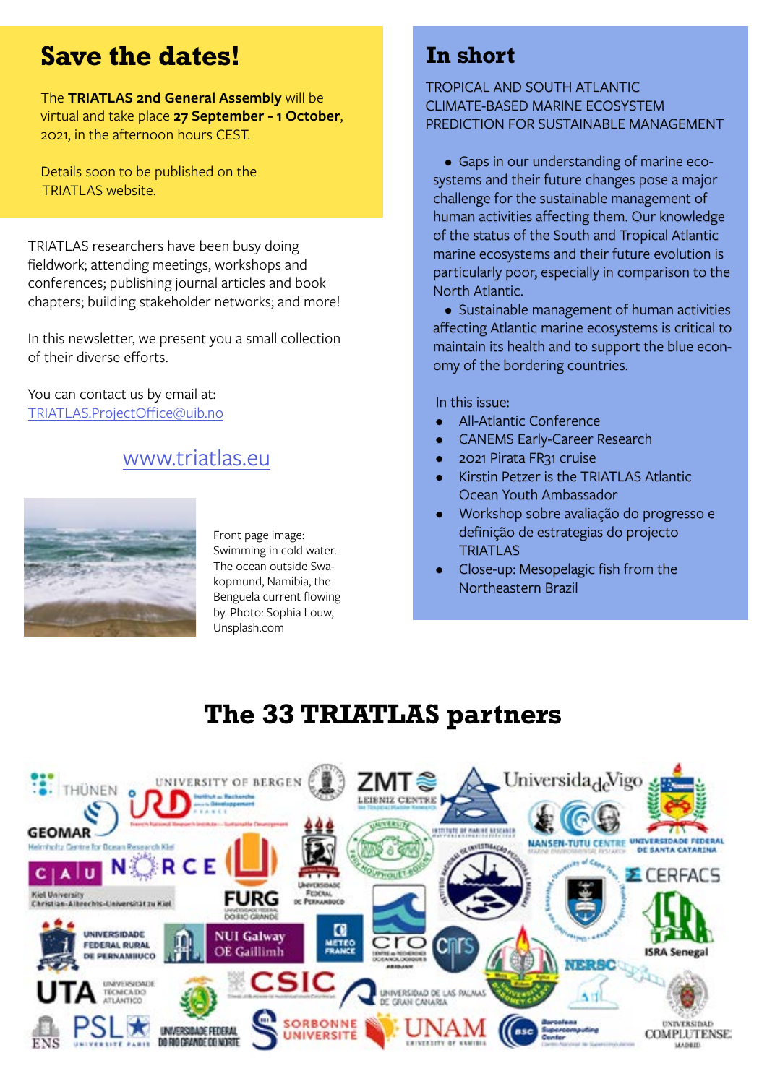# **Save the dates!**

The **TRIATLAS 2nd General Assembly** will be virtual and take place **27 September - 1 October**, 2021, in the afternoon hours CEST.

Details soon to be published on the TRIATLAS website.

TRIATLAS researchers have been busy doing fieldwork; attending meetings, workshops and conferences; publishing journal articles and book chapters; building stakeholder networks; and more!

In this newsletter, we present you a small collection of their diverse efforts.

You can contact us by email at: [TRIATLAS.ProjectOffice@uib.no](mailto:TRIATLAS.ProjectOffice%40uib.no?subject=)

### [www.triatlas.eu](http://www.triatlas.eu/)



Front page image: Swimming in cold water. The ocean outside Swakopmund, Namibia, the Benguela current flowing by. Photo: Sophia Louw, Unsplash.com

## **In short**

#### TROPICAL AND SOUTH ATLANTIC CLIMATE-BASED MARINE ECOSYSTEM PREDICTION FOR SUSTAINABLE MANAGEMENT

• Gaps in our understanding of marine ecosystems and their future changes pose a major challenge for the sustainable management of human activities affecting them. Our knowledge of the status of the South and Tropical Atlantic marine ecosystems and their future evolution is particularly poor, especially in comparison to the North Atlantic.

• Sustainable management of human activities affecting Atlantic marine ecosystems is critical to maintain its health and to support the blue economy of the bordering countries.

In this issue:

- All-Atlantic Conference
- CANEMS Early-Career Research
- 2021 Pirata FR31 cruise
- Kirstin Petzer is the TRIATLAS Atlantic Ocean Youth Ambassador
- Workshop sobre avaliação do progresso e definição de estrategias do projecto **TRIATLAS**
- Close-up: Mesopelagic fish from the Northeastern Brazil

# **The 33 TRIATLAS partners**

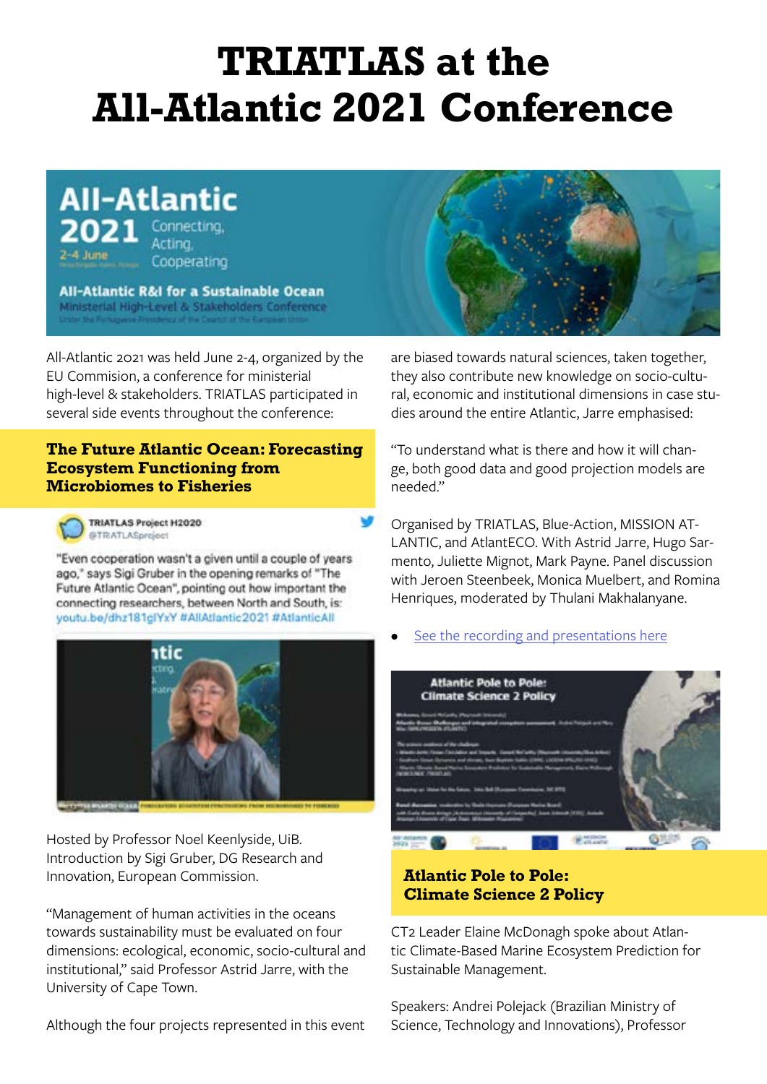# **TRIATLAS at the All-Atlantic 2021 Conference**

**All-Atlantic** Connecting, Acting, Cooperating

All-Atlantic R&I for a Sustainable Ocean Ministerial High-Level & Stakeholders Conference

All-Atlantic 2021 was held June 2-4, organized by the EU Commision, a conference for ministerial high-level & stakeholders. TRIATLAS participated in several side events throughout the conference:

#### **The Future Atlantic Ocean: Forecasting Ecosystem Functioning from Microbiomes to Fisheries**



**TRIATLAS Project H2020** @TRATLASpreject

"Even cooperation wasn't a civen until a couple of years ago," says Sigi Gruber in the opening remarks of "The Future Atlantic Ocean", pointing out how important the connecting researchers, between North and South, is: youtu.be/dhz181glYxY #AllAtlantic2021 #AtlanticAll



Hosted by Professor Noel Keenlyside, UiB. Introduction by Sigi Gruber, DG Research and Innovation, European Commission.

"Management of human activities in the oceans towards sustainability must be evaluated on four dimensions: ecological, economic, socio-cultural and institutional," said Professor Astrid Jarre, with the University of Cape Town.

Although the four projects represented in this event



are biased towards natural sciences, taken together, they also contribute new knowledge on socio-cultural, economic and institutional dimensions in case studies around the entire Atlantic, Jarre emphasised:

"To understand what is there and how it will change, both good data and good projection models are needed."

Organised by TRIATLAS, Blue-Action, MISSION AT-LANTIC, and AtlantECO. With Astrid Jarre, Hugo Sarmento, Juliette Mignot, Mark Payne. Panel discussion with Jeroen Steenbeek, Monica Muelbert, and Romina Henriques, moderated by Thulani Makhalanyane.

#### [See the recording and presentations here](https://triatlas.w.uib.no/2021/06/04/allatlantic2021/)



#### **Atlantic Pole to Pole: Climate Science 2 Policy**

CT2 Leader Elaine McDonagh spoke about Atlantic Climate-Based Marine Ecosystem Prediction for Sustainable Management.

Speakers: Andrei Polejack (Brazilian Ministry of Science, Technology and Innovations), Professor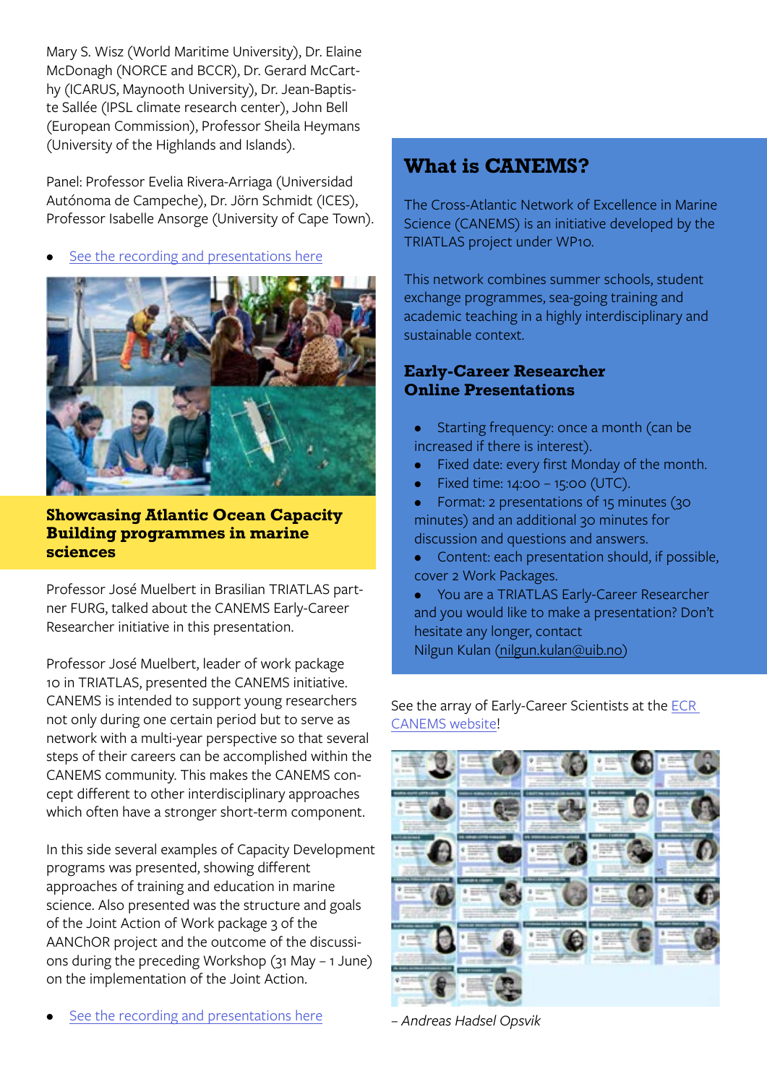Mary S. Wisz (World Maritime University), Dr. Elaine McDonagh (NORCE and BCCR), Dr. Gerard McCarthy (ICARUS, Maynooth University), Dr. Jean-Baptiste Sallée (IPSL climate research center), John Bell (European Commission), Professor Sheila Heymans (University of the Highlands and Islands).

Panel: Professor Evelia Rivera-Arriaga (Universidad Autónoma de Campeche), Dr. Jörn Schmidt (ICES), Professor Isabelle Ansorge (University of Cape Town).

[See the recording and presentations here](https://triatlas.w.uib.no/2021/06/04/atlantic-pole-to-pole-climate-science-2-policy/)



**Showcasing Atlantic Ocean Capacity Building programmes in marine sciences**

Professor José Muelbert in Brasilian TRIATLAS partner FURG, talked about the CANEMS Early-Career Researcher initiative in this presentation.

Professor José Muelbert, leader of work package 10 in TRIATLAS, presented the CANEMS initiative. CANEMS is intended to support young researchers not only during one certain period but to serve as network with a multi-year perspective so that several steps of their careers can be accomplished within the CANEMS community. This makes the CANEMS concept different to other interdisciplinary approaches which often have a stronger short-term component.

In this side several examples of Capacity Development programs was presented, showing different approaches of training and education in marine science. Also presented was the structure and goals of the Joint Action of Work package 3 of the AANChOR project and the outcome of the discussions during the preceding Workshop (31 May – 1 June) on the implementation of the Joint Action.

### **What is CANEMS?**

The Cross-Atlantic Network of Excellence in Marine Science (CANEMS) is an initiative developed by the TRIATLAS project under WP10.

This network combines summer schools, student exchange programmes, sea-going training and academic teaching in a highly interdisciplinary and sustainable context.

#### **Early-Career Researcher Online Presentations**

- Starting frequency: once a month (can be increased if there is interest).
- Fixed date: every first Monday of the month.
- Fixed time: 14:00 15:00 (UTC).
- Format: 2 presentations of 15 minutes (30 minutes) and an additional 30 minutes for discussion and questions and answers.
- Content: each presentation should, if possible, cover 2 Work Packages.
- You are a TRIATLAS Early-Career Researcher and you would like to make a presentation? Don't hesitate any longer, contact Nilgun Kulan [\(nilgun.kulan@uib.no](mailto:Early%20Career-Scientist%20presentation?subject=))

See the array of Early-Career Scientists at the [ECR](mailto:https://triatlas.w.uib.no/canems/all-atlantic-youth/early-career-scientists-ecrs/?subject=)  [CANEMS website!](mailto:https://triatlas.w.uib.no/canems/all-atlantic-youth/early-career-scientists-ecrs/?subject=)



*[– Andreas Hadsel Opsvik](mailto:https://triatlas.w.uib.no/canems/all-atlantic-youth/early-career-scientists-ecrs/?subject=)*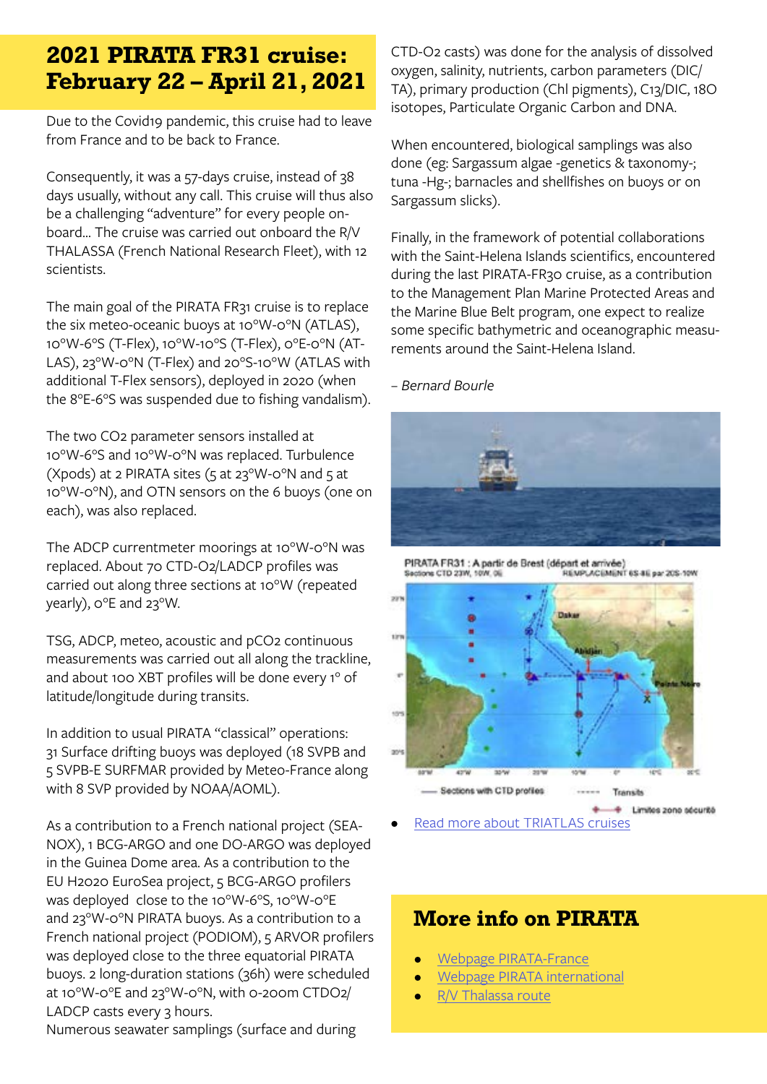## **2021 PIRATA FR31 cruise: February 22 – April 21, 2021**

Due to the Covid19 pandemic, this cruise had to leave from France and to be back to France.

Consequently, it was a 57-days cruise, instead of 38 days usually, without any call. This cruise will thus also be a challenging "adventure" for every people onboard... The cruise was carried out onboard the R/V THALASSA (French National Research Fleet), with 12 scientists.

The main goal of the PIRATA FR31 cruise is to replace the six meteo-oceanic buoys at 10°W-0°N (ATLAS), 10°W-6°S (T-Flex), 10°W-10°S (T-Flex), 0°E-0°N (AT-LAS), 23°W-0°N (T-Flex) and 20°S-10°W (ATLAS with additional T-Flex sensors), deployed in 2020 (when the 8°E-6°S was suspended due to fishing vandalism).

The two CO2 parameter sensors installed at 10°W-6°S and 10°W-0°N was replaced. Turbulence (Xpods) at 2 PIRATA sites ( $5$  at 23°W-0°N and  $5$  at 10°W-0°N), and OTN sensors on the 6 buoys (one on each), was also replaced.

The ADCP currentmeter moorings at 10°W-0°N was replaced. About 70 CTD-O2/LADCP profiles was carried out along three sections at 10°W (repeated yearly), 0°E and 23°W.

TSG, ADCP, meteo, acoustic and pCO2 continuous measurements was carried out all along the trackline, and about 100 XBT profiles will be done every 1° of latitude/longitude during transits.

In addition to usual PIRATA "classical" operations: 31 Surface drifting buoys was deployed (18 SVPB and 5 SVPB-E SURFMAR provided by Meteo-France along with 8 SVP provided by NOAA/AOML).

As a contribution to a French national project (SEA-NOX), 1 BCG-ARGO and one DO-ARGO was deployed in the Guinea Dome area. As a contribution to the EU H2020 EuroSea project, 5 BCG-ARGO profilers was deployed close to the 10°W-6°S, 10°W-0°E and 23°W-0°N PIRATA buoys. As a contribution to a French national project (PODIOM), 5 ARVOR profilers was deployed close to the three equatorial PIRATA buoys. 2 long-duration stations (36h) were scheduled at 10°W-0°E and 23°W-0°N, with 0-200m CTDO2/ LADCP casts every 3 hours.

Numerous seawater samplings (surface and during

CTD-O2 casts) was done for the analysis of dissolved oxygen, salinity, nutrients, carbon parameters (DIC/ TA), primary production (Chl pigments), C13/DIC, 18O isotopes, Particulate Organic Carbon and DNA.

When encountered, biological samplings was also done (eg: Sargassum algae -genetics & taxonomy-; tuna -Hg-; barnacles and shellfishes on buoys or on Sargassum slicks).

Finally, in the framework of potential collaborations with the Saint-Helena Islands scientifics, encountered during the last PIRATA-FR30 cruise, as a contribution to the Management Plan Marine Protected Areas and the Marine Blue Belt program, one expect to realize some specific bathymetric and oceanographic measurements around the Saint-Helena Island.

#### *– Bernard Bourle*



PIRATA FR31 : A partir de Brest (départ et arrivée) REMPLACEMENT 6S 8E par 20S-10W Sactions CTD 23W, 10W, 0E



[Read more about TRIATLAS cruises](https://triatlas.w.uib.no/cruises/)

### **More info on PIRATA**

- [Webpage PIRATA-France](http://www.brest.ird.fr/pirata/)
- [Webpage PIRATA international](http://www.pmel.noaa.gov/gtmba/pirata )
- [R/V Thalassa route](http://www.ifremer.fr/posnav/PosnavWeb/WFNavire.aspx?navire=thalassa)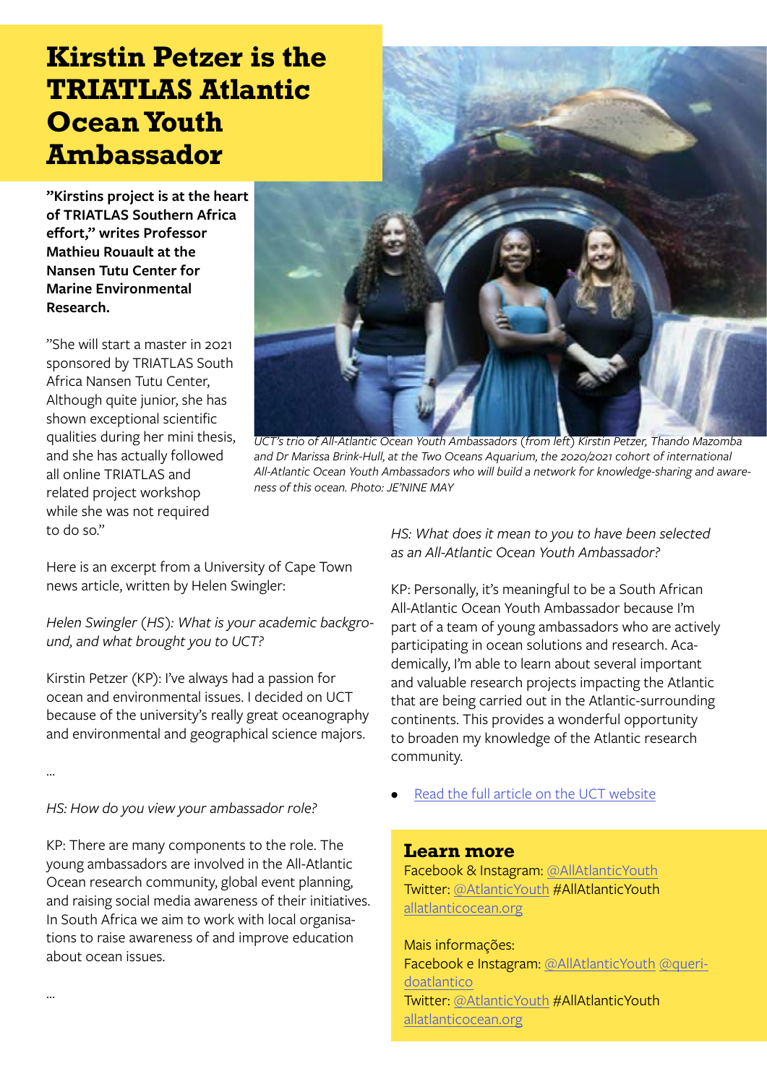# **Kirstin Petzer is the TRIATLAS Atlantic Ocean Youth Ambassador**

**"Kirstins project is at the heart of TRIATLAS Southern Africa effort," writes Professor Mathieu Rouault at the Nansen Tutu Center for Marine Environmental Research.**

"She will start a master in 2021 sponsored by TRIATLAS South Africa Nansen Tutu Center, Although quite junior, she has shown exceptional scientific qualities during her mini thesis, and she has actually followed all online TRIATLAS and related project workshop while she was not required to do so."



*UCT's trio of All-Atlantic Ocean Youth Ambassadors (from left) Kirstin Petzer, Thando Mazomba and Dr Marissa Brink-Hull, at the Two Oceans Aquarium, the 2020/2021 cohort of international All-Atlantic Ocean Youth Ambassadors who will build a network for knowledge-sharing and awareness of this ocean. Photo: JE'NINE MAY*

Here is an excerpt from a University of Cape Town news article, written by Helen Swingler:

*Helen Swingler (HS): What is your academic background, and what brought you to UCT?*

Kirstin Petzer (KP): I've always had a passion for ocean and environmental issues. I decided on UCT because of the university's really great oceanography and environmental and geographical science majors.

…

…

*HS: How do you view your ambassador role?*

KP: There are many components to the role. The young ambassadors are involved in the All-Atlantic Ocean research community, global event planning, and raising social media awareness of their initiatives. In South Africa we aim to work with local organisations to raise awareness of and improve education about ocean issues.

*HS: What does it mean to you to have been selected as an All-Atlantic Ocean Youth Ambassador?*

KP: Personally, it's meaningful to be a South African All-Atlantic Ocean Youth Ambassador because I'm part of a team of young ambassadors who are actively participating in ocean solutions and research. Academically, I'm able to learn about several important and valuable research projects impacting the Atlantic that are being carried out in the Atlantic-surrounding continents. This provides a wonderful opportunity to broaden my knowledge of the Atlantic research community.

[Read the full article on the UCT website](https://www.news.uct.ac.za/article/-2021-04-22-earth-day-all-uct-trio-of-atlantic-ambassadors)

#### **Learn more**

Facebook & Instagram: [@AllAtlanticYouth](https://www.instagram.com/allatlanticyouth/?hl=en) Twitter: [@AtlanticYouth](https://twitter.com/atlanticyouth?lang=en) #AllAtlanticYouth [allatlanticocean.org](https://allatlanticocean.org/view/atlanticambassadors/introduction)

Mais informações: Facebook e Instagram: [@AllAtlanticYouth](https://www.instagram.com/allatlanticyouth/?hl=en) [@queri](https://www.instagram.com/queridoatlantico/?hl=en)[doatlantico](https://www.instagram.com/queridoatlantico/?hl=en) Twitter: [@AtlanticYouth](https://twitter.com/atlanticyouth?lang=en) #AllAtlanticYouth [allatlanticocean.org](https://allatlanticocean.org/view/atlanticambassadors/introduction)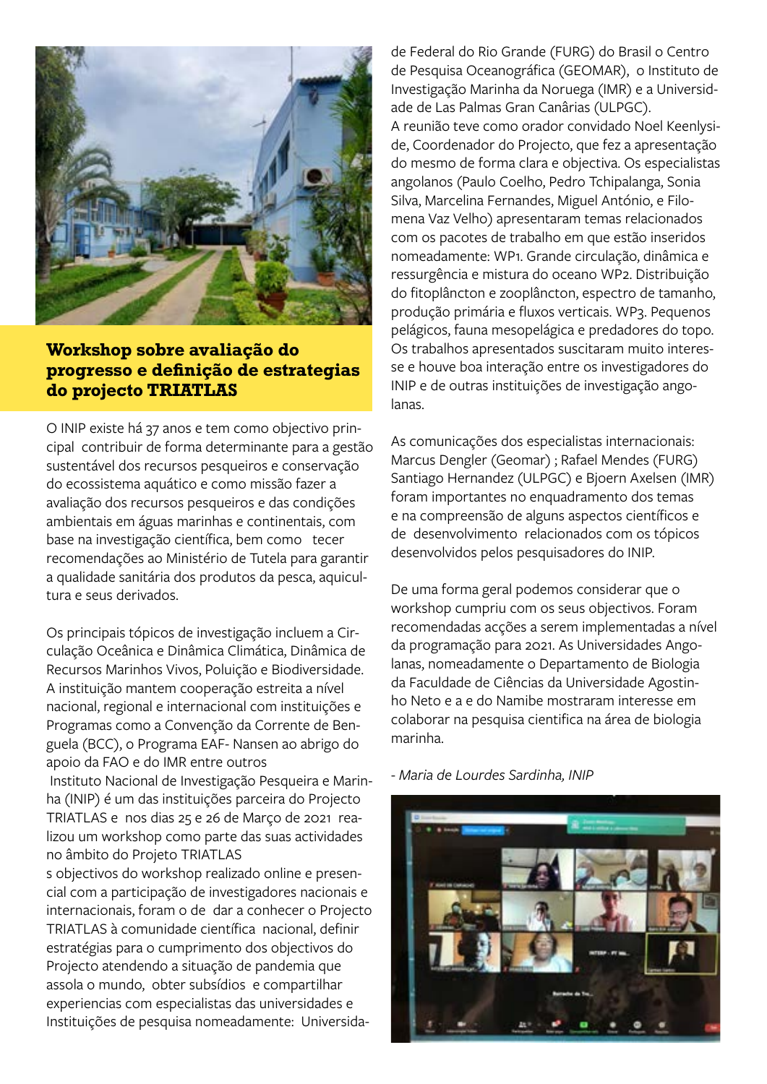

#### **Workshop sobre avaliação do progresso e definição de estrategias do projecto TRIATLAS**

O INIP existe há 37 anos e tem como objectivo principal contribuir de forma determinante para a gestão sustentável dos recursos pesqueiros e conservação do ecossistema aquático e como missão fazer a avaliação dos recursos pesqueiros e das condições ambientais em águas marinhas e continentais, com base na investigação científica, bem como tecer recomendações ao Ministério de Tutela para garantir a qualidade sanitária dos produtos da pesca, aquicultura e seus derivados.

Os principais tópicos de investigação incluem a Circulação Oceânica e Dinâmica Climática, Dinâmica de Recursos Marinhos Vivos, Poluição e Biodiversidade. A instituição mantem cooperação estreita a nível nacional, regional e internacional com instituições e Programas como a Convenção da Corrente de Benguela (BCC), o Programa EAF- Nansen ao abrigo do apoio da FAO e do IMR entre outros

 Instituto Nacional de Investigação Pesqueira e Marinha (INIP) é um das instituições parceira do Projecto TRIATLAS e nos dias 25 e 26 de Março de 2021 realizou um workshop como parte das suas actividades no âmbito do Projeto TRIATLAS

s objectivos do workshop realizado online e presencial com a participação de investigadores nacionais e internacionais, foram o de dar a conhecer o Projecto TRIATLAS à comunidade científica nacional, definir estratégias para o cumprimento dos objectivos do Projecto atendendo a situação de pandemia que assola o mundo, obter subsídios e compartilhar experiencias com especialistas das universidades e Instituições de pesquisa nomeadamente: Universidade Federal do Rio Grande (FURG) do Brasil o Centro de Pesquisa Oceanográfica (GEOMAR), o Instituto de Investigação Marinha da Noruega (IMR) e a Universidade de Las Palmas Gran Canârias (ULPGC). A reunião teve como orador convidado Noel Keenlyside, Coordenador do Projecto, que fez a apresentação do mesmo de forma clara e objectiva. Os especialistas angolanos (Paulo Coelho, Pedro Tchipalanga, Sonia Silva, Marcelina Fernandes, Miguel António, e Filomena Vaz Velho) apresentaram temas relacionados com os pacotes de trabalho em que estão inseridos nomeadamente: WP1. Grande circulação, dinâmica e ressurgência e mistura do oceano WP2. Distribuição do fitoplâncton e zooplâncton, espectro de tamanho, produção primária e fluxos verticais. WP3. Pequenos pelágicos, fauna mesopelágica e predadores do topo. Os trabalhos apresentados suscitaram muito interesse e houve boa interação entre os investigadores do INIP e de outras instituições de investigação angolanas.

As comunicações dos especialistas internacionais: Marcus Dengler (Geomar) ; Rafael Mendes (FURG) Santiago Hernandez (ULPGC) e Bjoern Axelsen (IMR) foram importantes no enquadramento dos temas e na compreensão de alguns aspectos científicos e de desenvolvimento relacionados com os tópicos desenvolvidos pelos pesquisadores do INIP.

De uma forma geral podemos considerar que o workshop cumpriu com os seus objectivos. Foram recomendadas acções a serem implementadas a nível da programação para 2021. As Universidades Angolanas, nomeadamente o Departamento de Biologia da Faculdade de Ciências da Universidade Agostinho Neto e a e do Namibe mostraram interesse em colaborar na pesquisa cientifica na área de biologia marinha.

*- Maria de Lourdes Sardinha, INIP*

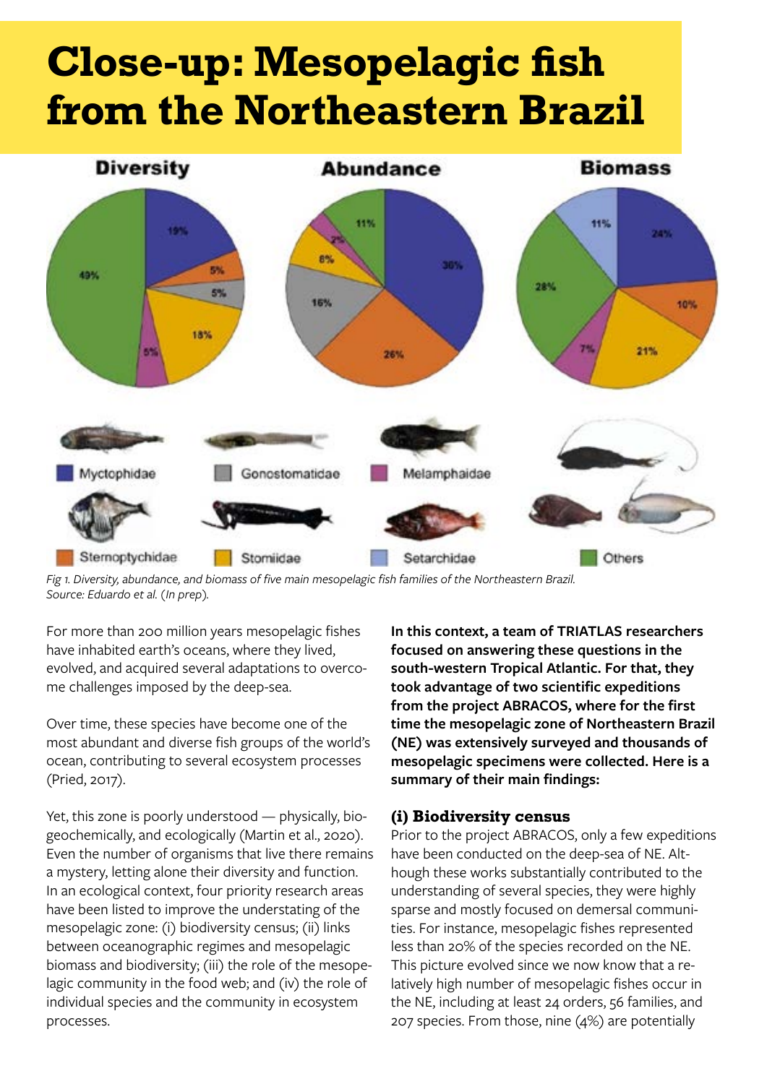# **Close-up: Mesopelagic fish from the Northeastern Brazil**



*Fig 1. Diversity, abundance, and biomass of five main mesopelagic fish families of the Northeastern Brazil. Source: Eduardo et al. (In prep).*

For more than 200 million years mesopelagic fishes have inhabited earth's oceans, where they lived, evolved, and acquired several adaptations to overcome challenges imposed by the deep-sea.

Over time, these species have become one of the most abundant and diverse fish groups of the world's ocean, contributing to several ecosystem processes (Pried, 2017).

Yet, this zone is poorly understood — physically, biogeochemically, and ecologically (Martin et al., 2020). Even the number of organisms that live there remains a mystery, letting alone their diversity and function. In an ecological context, four priority research areas have been listed to improve the understating of the mesopelagic zone: (i) biodiversity census; (ii) links between oceanographic regimes and mesopelagic biomass and biodiversity; (iii) the role of the mesopelagic community in the food web; and (iv) the role of individual species and the community in ecosystem processes.

**In this context, a team of TRIATLAS researchers focused on answering these questions in the south-western Tropical Atlantic. For that, they took advantage of two scientific expeditions from the project ABRACOS, where for the first time the mesopelagic zone of Northeastern Brazil (NE) was extensively surveyed and thousands of mesopelagic specimens were collected. Here is a summary of their main findings:**

#### **(i) Biodiversity census**

Prior to the project ABRACOS, only a few expeditions have been conducted on the deep-sea of NE. Although these works substantially contributed to the understanding of several species, they were highly sparse and mostly focused on demersal communities. For instance, mesopelagic fishes represented less than 20% of the species recorded on the NE. This picture evolved since we now know that a relatively high number of mesopelagic fishes occur in the NE, including at least 24 orders, 56 families, and 207 species. From those, nine (4%) are potentially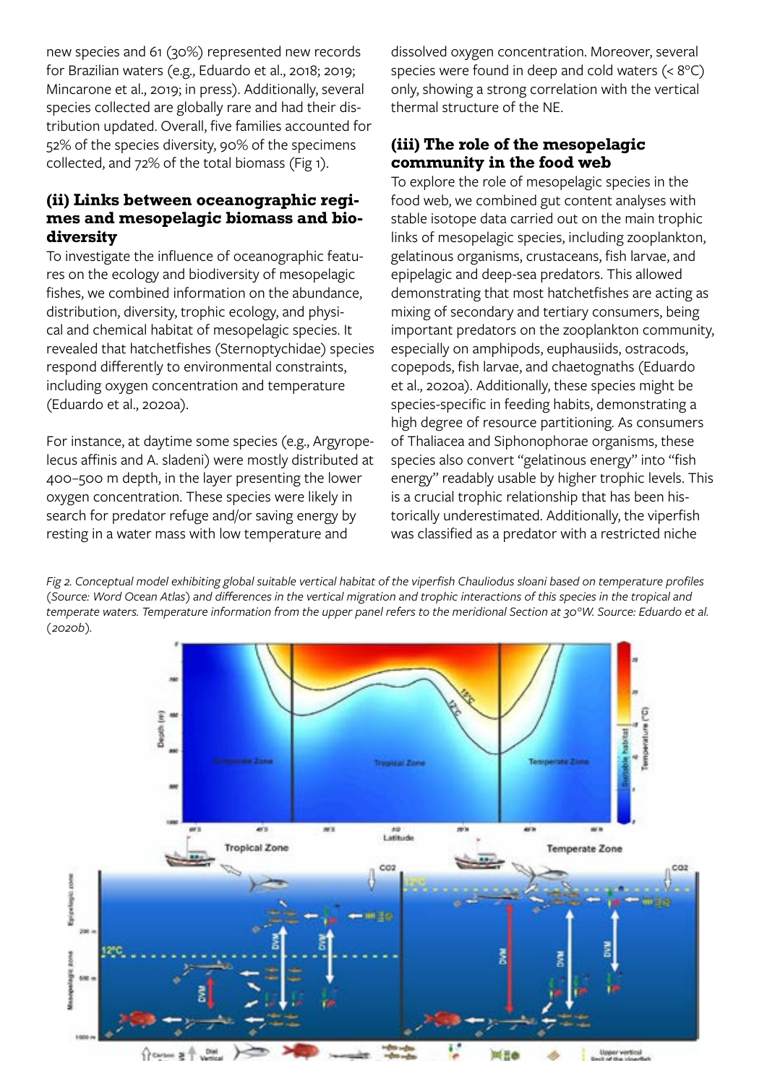new species and 61 (30%) represented new records for Brazilian waters (e.g., Eduardo et al., 2018; 2019; Mincarone et al., 2019; in press). Additionally, several species collected are globally rare and had their distribution updated. Overall, five families accounted for 52% of the species diversity, 90% of the specimens collected, and 72% of the total biomass (Fig 1).

#### **(ii) Links between oceanographic regimes and mesopelagic biomass and biodiversity**

To investigate the influence of oceanographic features on the ecology and biodiversity of mesopelagic fishes, we combined information on the abundance, distribution, diversity, trophic ecology, and physical and chemical habitat of mesopelagic species. It revealed that hatchetfishes (Sternoptychidae) species respond differently to environmental constraints, including oxygen concentration and temperature (Eduardo et al., 2020a).

For instance, at daytime some species (e.g., Argyropelecus affinis and A. sladeni) were mostly distributed at 400–500 m depth, in the layer presenting the lower oxygen concentration. These species were likely in search for predator refuge and/or saving energy by resting in a water mass with low temperature and

dissolved oxygen concentration. Moreover, several species were found in deep and cold waters (< 8°C) only, showing a strong correlation with the vertical thermal structure of the NE.

#### **(iii) The role of the mesopelagic community in the food web**

To explore the role of mesopelagic species in the food web, we combined gut content analyses with stable isotope data carried out on the main trophic links of mesopelagic species, including zooplankton, gelatinous organisms, crustaceans, fish larvae, and epipelagic and deep-sea predators. This allowed demonstrating that most hatchetfishes are acting as mixing of secondary and tertiary consumers, being important predators on the zooplankton community, especially on amphipods, euphausiids, ostracods, copepods, fish larvae, and chaetognaths (Eduardo et al., 2020a). Additionally, these species might be species-specific in feeding habits, demonstrating a high degree of resource partitioning. As consumers of Thaliacea and Siphonophorae organisms, these species also convert "gelatinous energy" into "fish energy" readably usable by higher trophic levels. This is a crucial trophic relationship that has been historically underestimated. Additionally, the viperfish was classified as a predator with a restricted niche

*Fig 2. Conceptual model exhibiting global suitable vertical habitat of the viperfish Chauliodus sloani based on temperature profiles (Source: Word Ocean Atlas) and differences in the vertical migration and trophic interactions of this species in the tropical and temperate waters. Temperature information from the upper panel refers to the meridional Section at 30°W. Source: Eduardo et al. (2020b).*

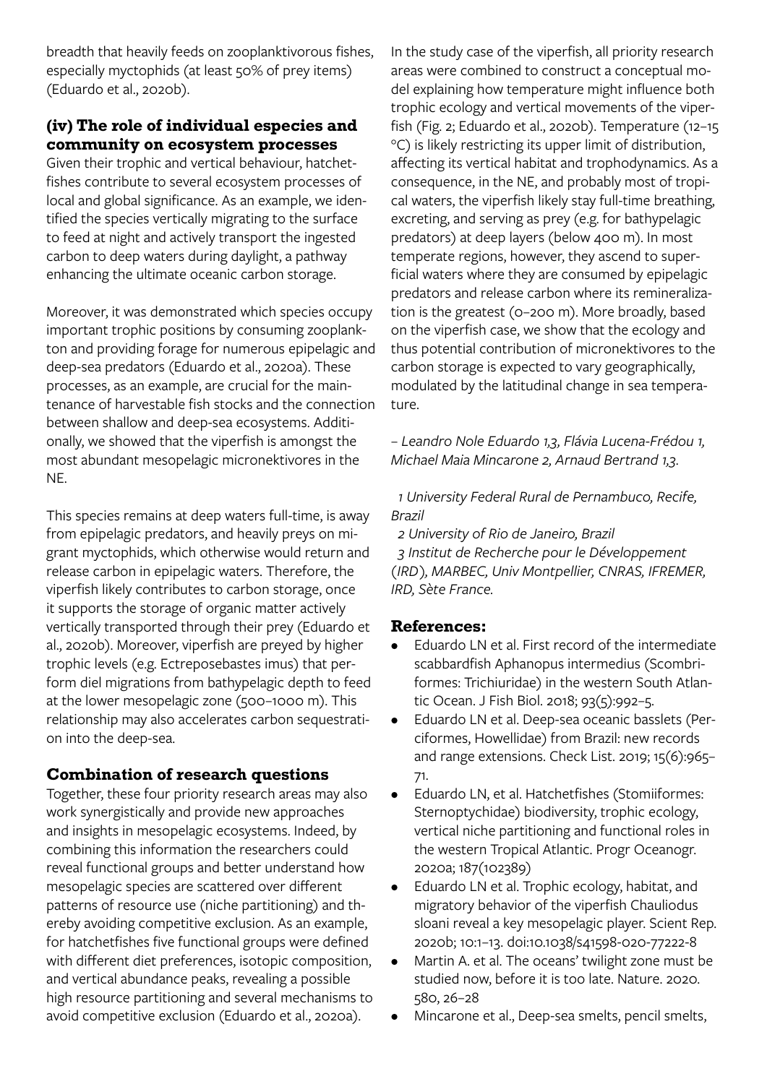breadth that heavily feeds on zooplanktivorous fishes, especially myctophids (at least 50% of prey items) (Eduardo et al., 2020b).

#### **(iv) The role of individual especies and community on ecosystem processes**

Given their trophic and vertical behaviour, hatchetfishes contribute to several ecosystem processes of local and global significance. As an example, we identified the species vertically migrating to the surface to feed at night and actively transport the ingested carbon to deep waters during daylight, a pathway enhancing the ultimate oceanic carbon storage.

Moreover, it was demonstrated which species occupy important trophic positions by consuming zooplankton and providing forage for numerous epipelagic and deep-sea predators (Eduardo et al., 2020a). These processes, as an example, are crucial for the maintenance of harvestable fish stocks and the connection between shallow and deep-sea ecosystems. Additionally, we showed that the viperfish is amongst the most abundant mesopelagic micronektivores in the NE.

This species remains at deep waters full-time, is away from epipelagic predators, and heavily preys on migrant myctophids, which otherwise would return and release carbon in epipelagic waters. Therefore, the viperfish likely contributes to carbon storage, once it supports the storage of organic matter actively vertically transported through their prey (Eduardo et al., 2020b). Moreover, viperfish are preyed by higher trophic levels (e.g. Ectreposebastes imus) that perform diel migrations from bathypelagic depth to feed at the lower mesopelagic zone (500–1000 m). This relationship may also accelerates carbon sequestration into the deep-sea.

#### **Combination of research questions**

Together, these four priority research areas may also work synergistically and provide new approaches and insights in mesopelagic ecosystems. Indeed, by combining this information the researchers could reveal functional groups and better understand how mesopelagic species are scattered over different patterns of resource use (niche partitioning) and thereby avoiding competitive exclusion. As an example, for hatchetfishes five functional groups were defined with different diet preferences, isotopic composition, and vertical abundance peaks, revealing a possible high resource partitioning and several mechanisms to avoid competitive exclusion (Eduardo et al., 2020a).

In the study case of the viperfish, all priority research areas were combined to construct a conceptual model explaining how temperature might influence both trophic ecology and vertical movements of the viperfish (Fig. 2; Eduardo et al., 2020b). Temperature (12–15 °C) is likely restricting its upper limit of distribution, affecting its vertical habitat and trophodynamics. As a consequence, in the NE, and probably most of tropical waters, the viperfish likely stay full-time breathing, excreting, and serving as prey (e.g. for bathypelagic predators) at deep layers (below 400 m). In most temperate regions, however, they ascend to superficial waters where they are consumed by epipelagic predators and release carbon where its remineralization is the greatest (0–200 m). More broadly, based on the viperfish case, we show that the ecology and thus potential contribution of micronektivores to the carbon storage is expected to vary geographically, modulated by the latitudinal change in sea temperature.

*– Leandro Nole Eduardo 1,3, Flávia Lucena-Frédou 1, Michael Maia Mincarone 2, Arnaud Bertrand 1,3.*

 *1 University Federal Rural de Pernambuco, Recife, Brazil* 

 *2 University of Rio de Janeiro, Brazil 3 Institut de Recherche pour le Développement (IRD), MARBEC, Univ Montpellier, CNRAS, IFREMER, IRD, Sète France.* 

#### **References:**

- Eduardo LN et al. First record of the intermediate scabbardfish Aphanopus intermedius (Scombriformes: Trichiuridae) in the western South Atlantic Ocean. J Fish Biol. 2018; 93(5):992–5.
- Eduardo LN et al. Deep-sea oceanic basslets (Perciformes, Howellidae) from Brazil: new records and range extensions. Check List. 2019; 15(6):965– 71.
- Eduardo LN, et al. Hatchetfishes (Stomiiformes: Sternoptychidae) biodiversity, trophic ecology, vertical niche partitioning and functional roles in the western Tropical Atlantic. Progr Oceanogr. 2020a; 187(102389)
- Eduardo LN et al. Trophic ecology, habitat, and migratory behavior of the viperfish Chauliodus sloani reveal a key mesopelagic player. Scient Rep. 2020b; 10:1–13. doi:10.1038/s41598-020-77222-8
- Martin A. et al. The oceans' twilight zone must be studied now, before it is too late. Nature. 2020. 580, 26–28
- Mincarone et al., Deep-sea smelts, pencil smelts,